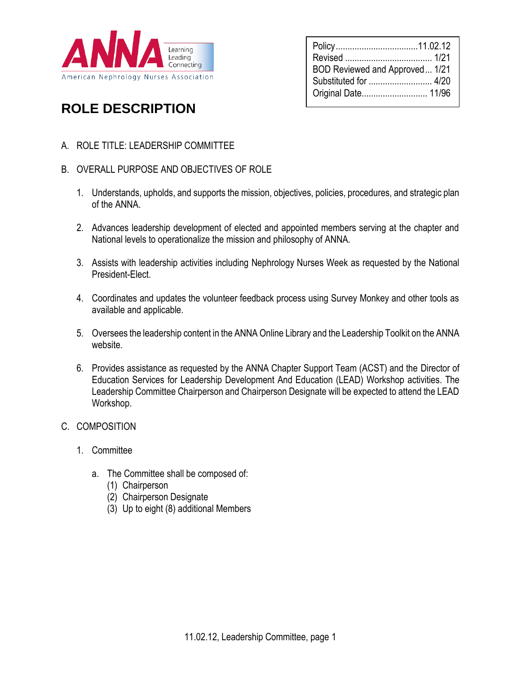

| Policy11.02.12<br>BOD Reviewed and Approved 1/21<br>Substituted for  4/20 |  |
|---------------------------------------------------------------------------|--|
| Original Date 11/96                                                       |  |

# **ROLE DESCRIPTION**

A. ROLE TITLE: LEADERSHIP COMMITTEE

## B. OVERALL PURPOSE AND OBJECTIVES OF ROLE

- 1. Understands, upholds, and supports the mission, objectives, policies, procedures, and strategic plan of the ANNA.
- 2. Advances leadership development of elected and appointed members serving at the chapter and National levels to operationalize the mission and philosophy of ANNA.
- 3. Assists with leadership activities including Nephrology Nurses Week as requested by the National President-Elect.
- 4. Coordinates and updates the volunteer feedback process using Survey Monkey and other tools as available and applicable.
- 5. Oversees the leadership content in the ANNA Online Library and the Leadership Toolkit on the ANNA website.
- 6. Provides assistance as requested by the ANNA Chapter Support Team (ACST) and the Director of Education Services for Leadership Development And Education (LEAD) Workshop activities. The Leadership Committee Chairperson and Chairperson Designate will be expected to attend the LEAD Workshop.

#### C. COMPOSITION

- 1. Committee
	- a. The Committee shall be composed of:
		- (1) Chairperson
		- (2) Chairperson Designate
		- (3) Up to eight (8) additional Members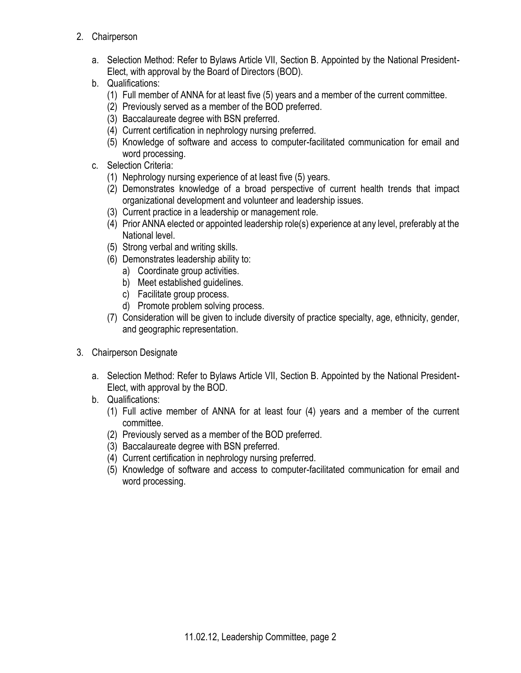- 2. Chairperson
	- a. Selection Method: Refer to Bylaws Article VII, Section B. Appointed by the National President-Elect, with approval by the Board of Directors (BOD).
	- b. Qualifications:
		- (1) Full member of ANNA for at least five (5) years and a member of the current committee.
		- (2) Previously served as a member of the BOD preferred.
		- (3) Baccalaureate degree with BSN preferred.
		- (4) Current certification in nephrology nursing preferred.
		- (5) Knowledge of software and access to computer-facilitated communication for email and word processing.
	- c. Selection Criteria:
		- (1) Nephrology nursing experience of at least five (5) years.
		- (2) Demonstrates knowledge of a broad perspective of current health trends that impact organizational development and volunteer and leadership issues.
		- (3) Current practice in a leadership or management role.
		- (4) Prior ANNA elected or appointed leadership role(s) experience at any level, preferably at the National level.
		- (5) Strong verbal and writing skills.
		- (6) Demonstrates leadership ability to:
			- a) Coordinate group activities.
			- b) Meet established guidelines.
			- c) Facilitate group process.
			- d) Promote problem solving process.
		- (7) Consideration will be given to include diversity of practice specialty, age, ethnicity, gender, and geographic representation.
- 3. Chairperson Designate
	- a. Selection Method: Refer to Bylaws Article VII, Section B. Appointed by the National President-Elect, with approval by the BOD.
	- b. Qualifications:
		- (1) Full active member of ANNA for at least four (4) years and a member of the current committee.
		- (2) Previously served as a member of the BOD preferred.
		- (3) Baccalaureate degree with BSN preferred.
		- (4) Current certification in nephrology nursing preferred.
		- (5) Knowledge of software and access to computer-facilitated communication for email and word processing.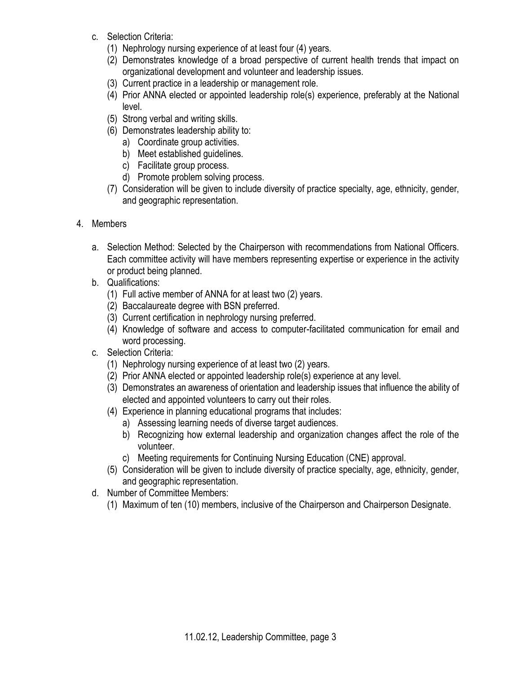- c. Selection Criteria:
	- (1) Nephrology nursing experience of at least four (4) years.
	- (2) Demonstrates knowledge of a broad perspective of current health trends that impact on organizational development and volunteer and leadership issues.
	- (3) Current practice in a leadership or management role.
	- (4) Prior ANNA elected or appointed leadership role(s) experience, preferably at the National level.
	- (5) Strong verbal and writing skills.
	- (6) Demonstrates leadership ability to:
		- a) Coordinate group activities.
		- b) Meet established guidelines.
		- c) Facilitate group process.
		- d) Promote problem solving process.
	- (7) Consideration will be given to include diversity of practice specialty, age, ethnicity, gender, and geographic representation.
- 4. Members
	- a. Selection Method: Selected by the Chairperson with recommendations from National Officers. Each committee activity will have members representing expertise or experience in the activity or product being planned.
	- b. Qualifications:
		- (1) Full active member of ANNA for at least two (2) years.
		- (2) Baccalaureate degree with BSN preferred.
		- (3) Current certification in nephrology nursing preferred.
		- (4) Knowledge of software and access to computer-facilitated communication for email and word processing.
	- c. Selection Criteria:
		- (1) Nephrology nursing experience of at least two (2) years.
		- (2) Prior ANNA elected or appointed leadership role(s) experience at any level.
		- (3) Demonstrates an awareness of orientation and leadership issues that influence the ability of elected and appointed volunteers to carry out their roles.
		- (4) Experience in planning educational programs that includes:
			- a) Assessing learning needs of diverse target audiences.
			- b) Recognizing how external leadership and organization changes affect the role of the volunteer.
			- c) Meeting requirements for Continuing Nursing Education (CNE) approval.
		- (5) Consideration will be given to include diversity of practice specialty, age, ethnicity, gender, and geographic representation.
	- d. Number of Committee Members:
		- (1) Maximum of ten (10) members, inclusive of the Chairperson and Chairperson Designate.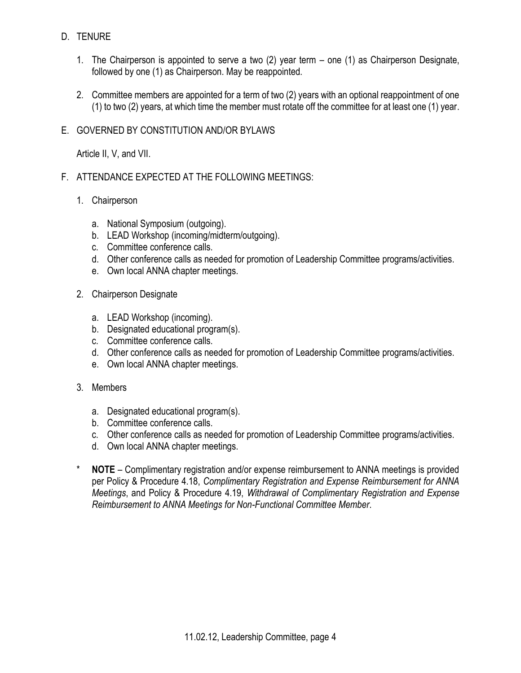## D. TENURE

- 1. The Chairperson is appointed to serve a two (2) year term one (1) as Chairperson Designate, followed by one (1) as Chairperson. May be reappointed.
- 2. Committee members are appointed for a term of two (2) years with an optional reappointment of one (1) to two (2) years, at which time the member must rotate off the committee for at least one (1) year.

## E. GOVERNED BY CONSTITUTION AND/OR BYLAWS

Article II, V, and VII.

- F. ATTENDANCE EXPECTED AT THE FOLLOWING MEETINGS:
	- 1. Chairperson
		- a. National Symposium (outgoing).
		- b. LEAD Workshop (incoming/midterm/outgoing).
		- c. Committee conference calls.
		- d. Other conference calls as needed for promotion of Leadership Committee programs/activities.
		- e. Own local ANNA chapter meetings.
	- 2. Chairperson Designate
		- a. LEAD Workshop (incoming).
		- b. Designated educational program(s).
		- c. Committee conference calls.
		- d. Other conference calls as needed for promotion of Leadership Committee programs/activities.
		- e. Own local ANNA chapter meetings.
	- 3. Members
		- a. Designated educational program(s).
		- b. Committee conference calls.
		- c. Other conference calls as needed for promotion of Leadership Committee programs/activities.
		- d. Own local ANNA chapter meetings.
	- \* **NOTE** Complimentary registration and/or expense reimbursement to ANNA meetings is provided per Policy & Procedure 4.18, *Complimentary Registration and Expense Reimbursement for ANNA Meetings*, and Policy & Procedure 4.19, *Withdrawal of Complimentary Registration and Expense Reimbursement to ANNA Meetings for Non-Functional Committee Member*.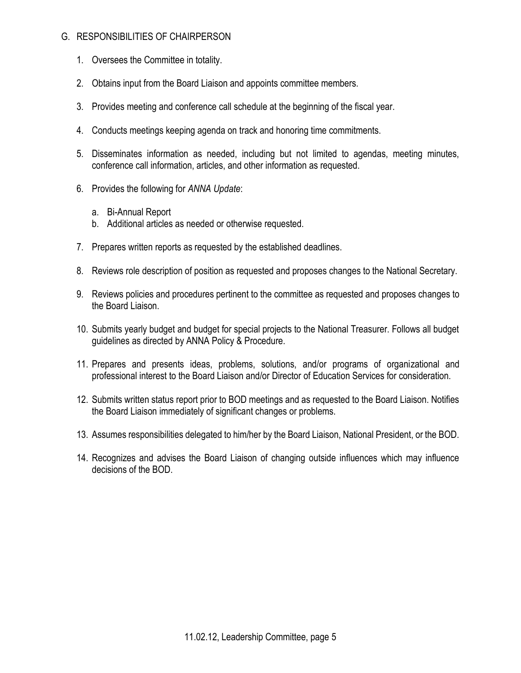## G. RESPONSIBILITIES OF CHAIRPERSON

- 1. Oversees the Committee in totality.
- 2. Obtains input from the Board Liaison and appoints committee members.
- 3. Provides meeting and conference call schedule at the beginning of the fiscal year.
- 4. Conducts meetings keeping agenda on track and honoring time commitments.
- 5. Disseminates information as needed, including but not limited to agendas, meeting minutes, conference call information, articles, and other information as requested.
- 6. Provides the following for *ANNA Update*:
	- a. Bi-Annual Report
	- b. Additional articles as needed or otherwise requested.
- 7. Prepares written reports as requested by the established deadlines.
- 8. Reviews role description of position as requested and proposes changes to the National Secretary.
- 9. Reviews policies and procedures pertinent to the committee as requested and proposes changes to the Board Liaison.
- 10. Submits yearly budget and budget for special projects to the National Treasurer. Follows all budget guidelines as directed by ANNA Policy & Procedure.
- 11. Prepares and presents ideas, problems, solutions, and/or programs of organizational and professional interest to the Board Liaison and/or Director of Education Services for consideration.
- 12. Submits written status report prior to BOD meetings and as requested to the Board Liaison. Notifies the Board Liaison immediately of significant changes or problems.
- 13. Assumes responsibilities delegated to him/her by the Board Liaison, National President, or the BOD.
- 14. Recognizes and advises the Board Liaison of changing outside influences which may influence decisions of the BOD.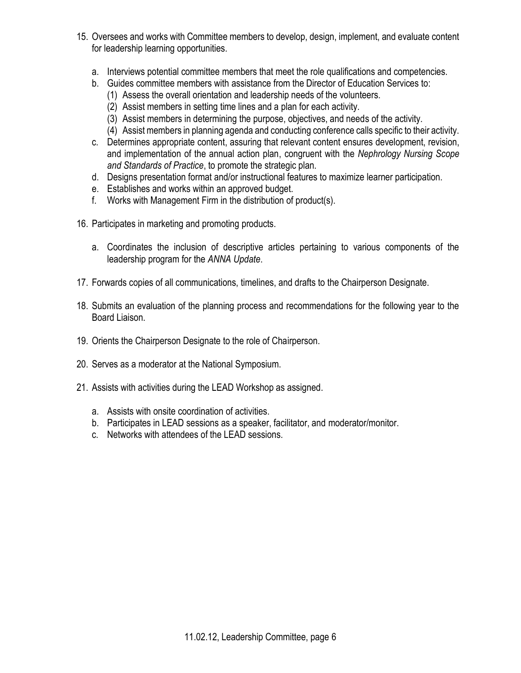- 15. Oversees and works with Committee members to develop, design, implement, and evaluate content for leadership learning opportunities.
	- a. Interviews potential committee members that meet the role qualifications and competencies.
	- b. Guides committee members with assistance from the Director of Education Services to:
		- (1) Assess the overall orientation and leadership needs of the volunteers.
		- (2) Assist members in setting time lines and a plan for each activity.
		- (3) Assist members in determining the purpose, objectives, and needs of the activity.
		- (4) Assist members in planning agenda and conducting conference calls specific to their activity.
	- c. Determines appropriate content, assuring that relevant content ensures development, revision, and implementation of the annual action plan, congruent with the *Nephrology Nursing Scope and Standards of Practice*, to promote the strategic plan.
	- d. Designs presentation format and/or instructional features to maximize learner participation.
	- e. Establishes and works within an approved budget.
	- f. Works with Management Firm in the distribution of product(s).
- 16. Participates in marketing and promoting products.
	- a. Coordinates the inclusion of descriptive articles pertaining to various components of the leadership program for the *ANNA Update*.
- 17. Forwards copies of all communications, timelines, and drafts to the Chairperson Designate.
- 18. Submits an evaluation of the planning process and recommendations for the following year to the Board Liaison.
- 19. Orients the Chairperson Designate to the role of Chairperson.
- 20. Serves as a moderator at the National Symposium.
- 21. Assists with activities during the LEAD Workshop as assigned.
	- a. Assists with onsite coordination of activities.
	- b. Participates in LEAD sessions as a speaker, facilitator, and moderator/monitor.
	- c. Networks with attendees of the LEAD sessions.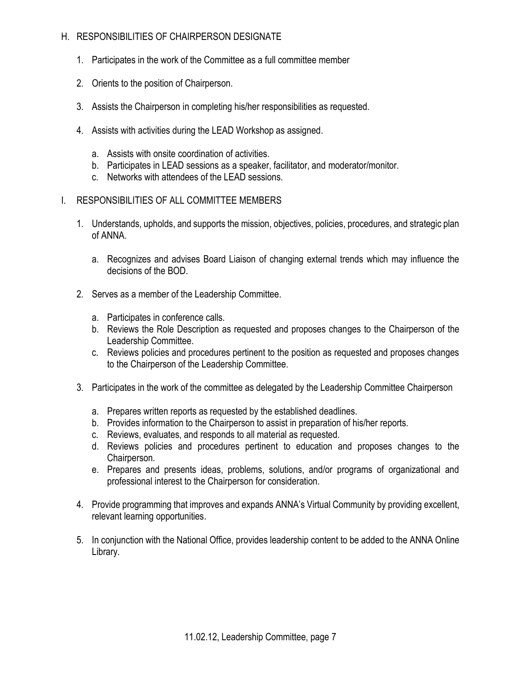## H. RESPONSIBILITIES OF CHAIRPERSON DESIGNATE

- 1. Participates in the work of the Committee as a full committee member
- 2. Orients to the position of Chairperson.
- 3. Assists the Chairperson in completing his/her responsibilities as requested.
- 4. Assists with activities during the LEAD Workshop as assigned.
	- a. Assists with onsite coordination of activities.
	- b. Participates in LEAD sessions as a speaker, facilitator, and moderator/monitor.
	- c. Networks with attendees of the LEAD sessions.
- I. RESPONSIBILITIES OF ALL COMMITTEE MEMBERS
	- 1. Understands, upholds, and supports the mission, objectives, policies, procedures, and strategic plan of ANNA.
		- a. Recognizes and advises Board Liaison of changing external trends which may influence the decisions of the BOD.
	- 2. Serves as a member of the Leadership Committee.
		- a. Participates in conference calls.
		- b. Reviews the Role Description as requested and proposes changes to the Chairperson of the Leadership Committee.
		- c. Reviews policies and procedures pertinent to the position as requested and proposes changes to the Chairperson of the Leadership Committee.
	- 3. Participates in the work of the committee as delegated by the Leadership Committee Chairperson
		- a. Prepares written reports as requested by the established deadlines.
		- b. Provides information to the Chairperson to assist in preparation of his/her reports.
		- c. Reviews, evaluates, and responds to all material as requested.
		- d. Reviews policies and procedures pertinent to education and proposes changes to the Chairperson.
		- e. Prepares and presents ideas, problems, solutions, and/or programs of organizational and professional interest to the Chairperson for consideration.
	- 4. Provide programming that improves and expands ANNA's Virtual Community by providing excellent, relevant learning opportunities.
	- 5. In conjunction with the National Office, provides leadership content to be added to the ANNA Online Library.